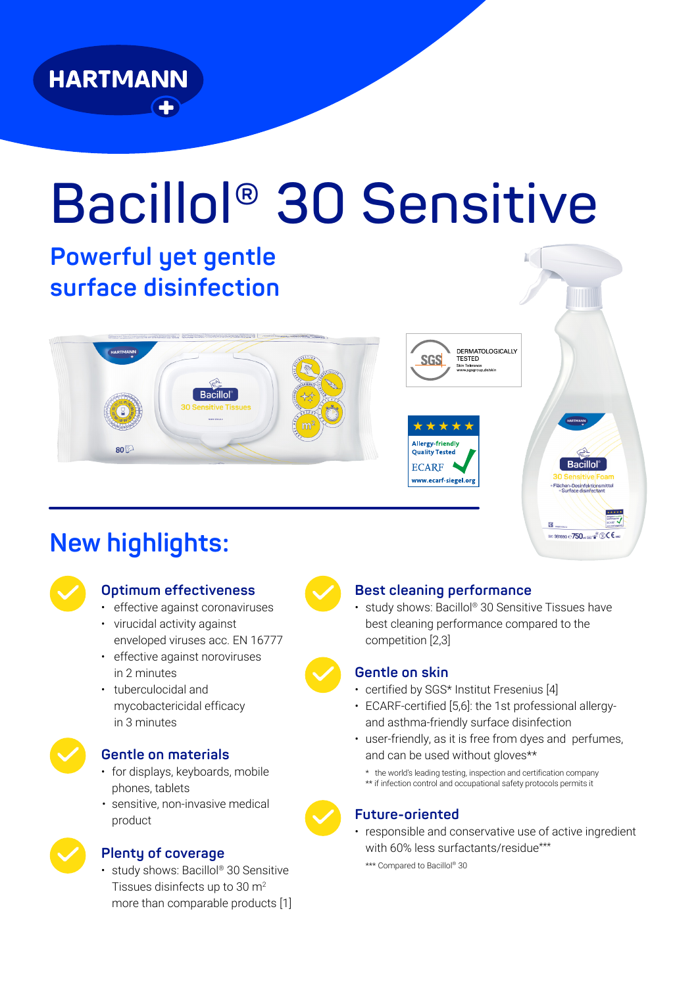

# **Bacillol® 30 Sensitive**

# **Powerful yet gentle surface disinfection**





### **Optimum effectiveness**

- effective against coronaviruses
- virucidal activity against enveloped viruses acc. EN 16777
- effective against noroviruses in 2 minutes
- tuberculocidal and mycobactericidal efficacy in 3 minutes



#### **Gentle on materials**

- for displays, keyboards, mobile phones, tablets
- sensitive, non-invasive medical product



#### **Plenty of coverage**

• study shows: Bacillol® 30 Sensitive Tissues disinfects up to 30 m2 more than comparable products [1]



#### **Best cleaning performance**

**SGS** 

\*\*\* Allergy-friendly

**Quality Tested ECARF** www.ecarf-siegel.ors

• study shows: Bacillol® 30 Sensitive Tissues have best cleaning performance compared to the competition [2,3]

DERMATOLOGICALLY<br>TESTED

n Tolerance

#### **Gentle on skin**

- certified by SGS\* Institut Fresenius [4]
- ECARF-certified [5,6]: the 1st professional allergyand asthma-friendly surface disinfection
- user-friendly, as it is free from dyes and perfumes, and can be used without gloves\*\*
	- \* the world's leading testing, inspection and certification company
	- \*\* if infection control and occupational safety protocols permits it

#### **Future-oriented**

• responsible and conservative use of active ingredient with 60% less surfactants/residue\*\*\*

\*\*\* Compared to Bacillol® 30